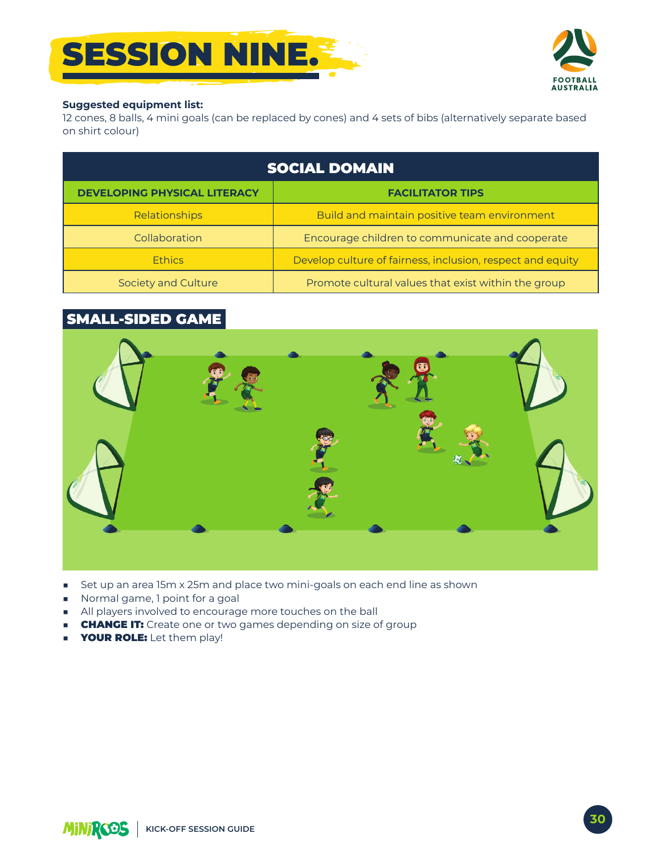



#### **Suggested equipment list:**

12 cones, 8 balls, 4 mini goals (can be replaced by cones) and 4 sets of bibs (alternatively separate based on shirt colour)

| <b>SOCIAL DOMAIN</b>                |                                                            |
|-------------------------------------|------------------------------------------------------------|
| <b>DEVELOPING PHYSICAL LITERACY</b> | <b>FACILITATOR TIPS</b>                                    |
| Relationships                       | Build and maintain positive team environment               |
| Collaboration                       | Encourage children to communicate and cooperate            |
| <b>Ethics</b>                       | Develop culture of fairness, inclusion, respect and equity |
| Society and Culture                 | Promote cultural values that exist within the group        |

## **SMALL-SIDED GAME**



- set up an area 15m x 25m and place two mini-goals on each end line as shown
- Normal game, 1 point for a goal
- All players involved to encourage more touches on the ball
- **CHANGE IT:** Create one or two games depending on size of group
- YOUR ROLE: Let them play!  $\blacksquare$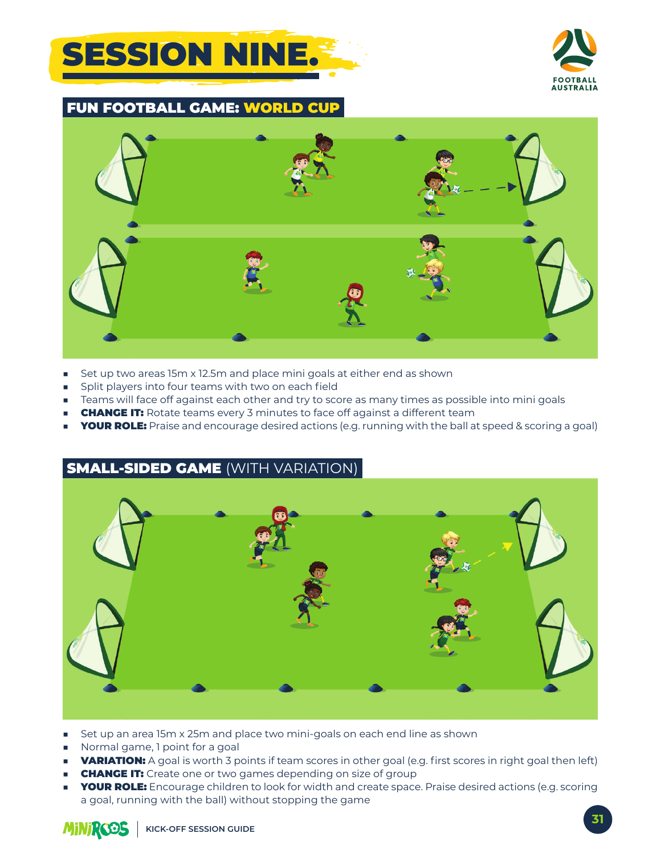



**FUN FOOTBALL GAME: WORLD** 



- Set up two areas 15m x 12.5m and place mini goals at either end as shown ٠
- Split players into four teams with two on each field
- Teams will face off against each other and try to score as many times as possible into mini goals ×.
- **CHANGE IT:** Rotate teams every 3 minutes to face off against a different team
- **YOUR ROLE:** Praise and encourage desired actions (e.g. running with the ball at speed & scoring a goal)

### **SMALL-SIDED GAME (WITH VARIATION)**



- Set up an area 15m x 25m and place two mini-goals on each end line as shown
- Normal game, I point for a goal
- **VARIATION:** A goal is worth 3 points if team scores in other goal (e.g. first scores in right goal then left)
- **CHANGE IT:** Create one or two games depending on size of group
- **YOUR ROLE:** Encourage children to look for width and create space. Praise desired actions (e.g. scoring a goal, running with the ball) without stopping the game